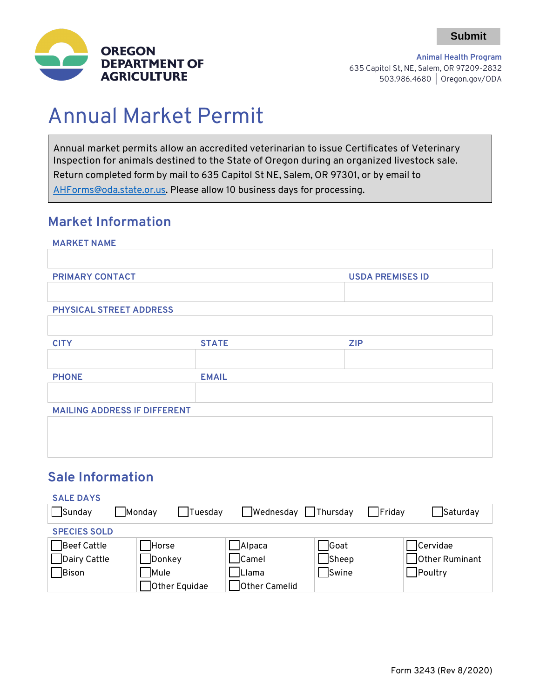#### **Submit**



# Annual Market Permit

Annual market permits allow an accredited veterinarian to issue Certificates of Veterinary Inspection for animals destined to the State of Oregon during an organized livestock sale. Return completed form by mail to 635 Capitol St NE, Salem, OR 97301, or by email to AHForms@oda.state.or.us. Please allow 10 business days for processing.

## **Market Information**

| <b>MARKET NAME</b>                  |              |                         |
|-------------------------------------|--------------|-------------------------|
|                                     |              |                         |
| <b>PRIMARY CONTACT</b>              |              | <b>USDA PREMISES ID</b> |
|                                     |              |                         |
| PHYSICAL STREET ADDRESS             |              |                         |
|                                     |              |                         |
| <b>CITY</b>                         | <b>STATE</b> | <b>ZIP</b>              |
|                                     |              |                         |
| <b>PHONE</b>                        | <b>EMAIL</b> |                         |
|                                     |              |                         |
| <b>MAILING ADDRESS IF DIFFERENT</b> |              |                         |
|                                     |              |                         |
|                                     |              |                         |

# **Sale Information**

| <b>SALE DAYS</b>    |        |               |                      |             |               |                |
|---------------------|--------|---------------|----------------------|-------------|---------------|----------------|
| $\Box$ Sunday       | Monday | Tuesday       | Wednesday Thursday   |             | $\Box$ Friday | Saturday       |
| <b>SPECIES SOLD</b> |        |               |                      |             |               |                |
| □Beef Cattle        | Horse  |               | Alpaca               | <b>Goat</b> |               | Cervidae       |
| Dairy Cattle        | Donkey |               | $\Box$ Camel         | Sheep       |               | Other Ruminant |
| Bison               | Mule   |               | lLlama               | Swine       |               | Poultry        |
|                     |        | Other Equidae | <b>Other Camelid</b> |             |               |                |